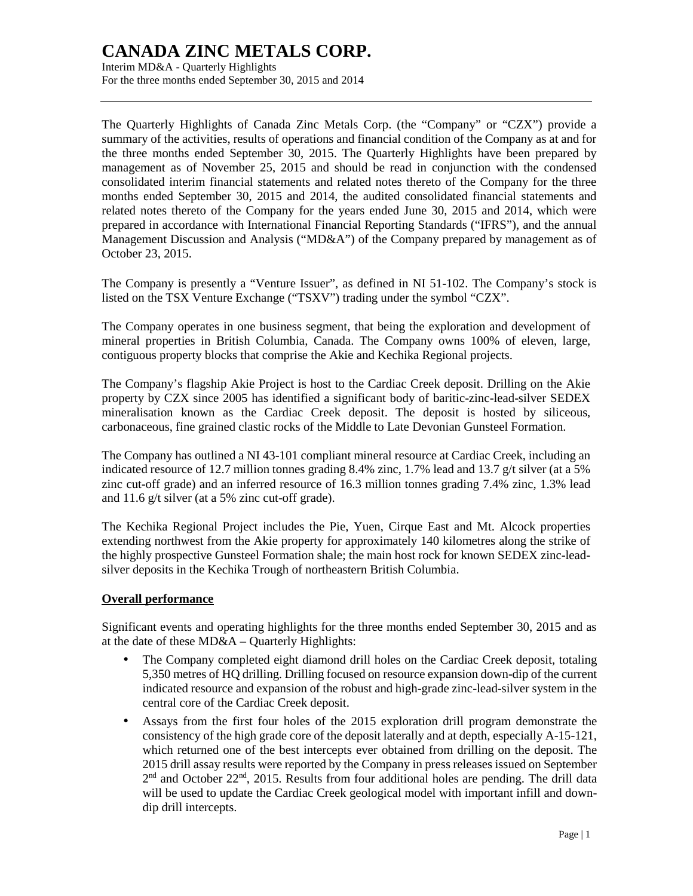Interim MD&A - Quarterly Highlights For the three months ended September 30, 2015 and 2014

The Quarterly Highlights of Canada Zinc Metals Corp. (the "Company" or "CZX") provide a summary of the activities, results of operations and financial condition of the Company as at and for the three months ended September 30, 2015. The Quarterly Highlights have been prepared by management as of November 25, 2015 and should be read in conjunction with the condensed consolidated interim financial statements and related notes thereto of the Company for the three months ended September 30, 2015 and 2014, the audited consolidated financial statements and related notes thereto of the Company for the years ended June 30, 2015 and 2014, which were prepared in accordance with International Financial Reporting Standards ("IFRS"), and the annual Management Discussion and Analysis ("MD&A") of the Company prepared by management as of October 23, 2015.

The Company is presently a "Venture Issuer", as defined in NI 51-102. The Company's stock is listed on the TSX Venture Exchange ("TSXV") trading under the symbol "CZX".

The Company operates in one business segment, that being the exploration and development of mineral properties in British Columbia, Canada. The Company owns 100% of eleven, large, contiguous property blocks that comprise the Akie and Kechika Regional projects.

The Company's flagship Akie Project is host to the Cardiac Creek deposit. Drilling on the Akie property by CZX since 2005 has identified a significant body of baritic-zinc-lead-silver SEDEX mineralisation known as the Cardiac Creek deposit. The deposit is hosted by siliceous, carbonaceous, fine grained clastic rocks of the Middle to Late Devonian Gunsteel Formation.

The Company has outlined a NI 43-101 compliant mineral resource at Cardiac Creek, including an indicated resource of 12.7 million tonnes grading 8.4% zinc, 1.7% lead and 13.7 g/t silver (at a 5% zinc cut-off grade) and an inferred resource of 16.3 million tonnes grading 7.4% zinc, 1.3% lead and 11.6 g/t silver (at a 5% zinc cut-off grade).

The Kechika Regional Project includes the Pie, Yuen, Cirque East and Mt. Alcock properties extending northwest from the Akie property for approximately 140 kilometres along the strike of the highly prospective Gunsteel Formation shale; the main host rock for known SEDEX zinc-leadsilver deposits in the Kechika Trough of northeastern British Columbia.

#### **Overall performance**

Significant events and operating highlights for the three months ended September 30, 2015 and as at the date of these  $MD&A -$ Quarterly Highlights:

- The Company completed eight diamond drill holes on the Cardiac Creek deposit, totaling 5,350 metres of HQ drilling. Drilling focused on resource expansion down-dip of the current indicated resource and expansion of the robust and high-grade zinc-lead-silver system in the central core of the Cardiac Creek deposit.
- Assays from the first four holes of the 2015 exploration drill program demonstrate the consistency of the high grade core of the deposit laterally and at depth, especially A-15-121, which returned one of the best intercepts ever obtained from drilling on the deposit. The 2015 drill assay results were reported by the Company in press releases issued on September 2<sup>nd</sup> and October 22<sup>nd</sup>, 2015. Results from four additional holes are pending. The drill data will be used to update the Cardiac Creek geological model with important infill and downdip drill intercepts.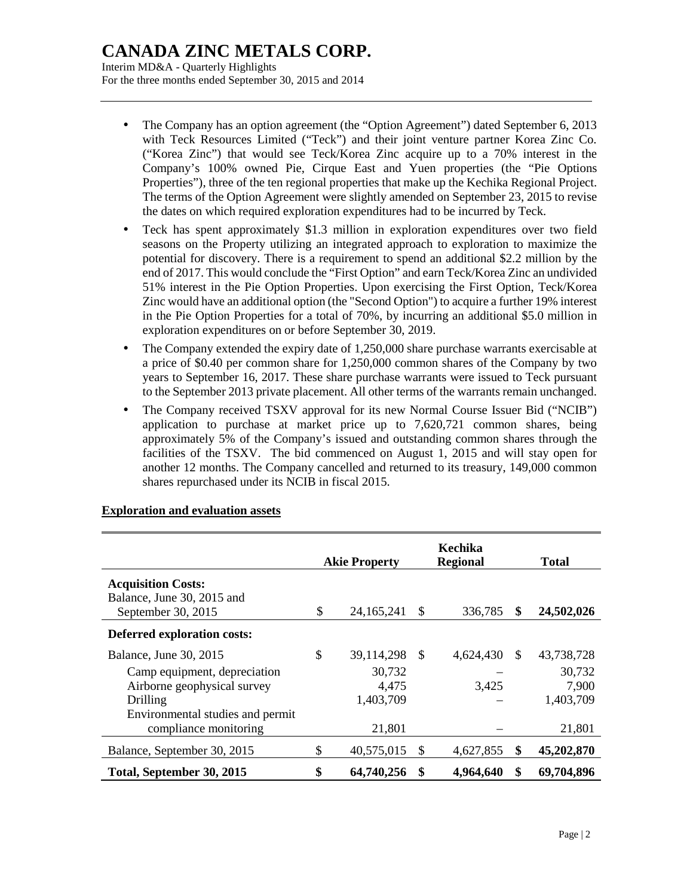Interim MD&A - Quarterly Highlights For the three months ended September 30, 2015 and 2014

- The Company has an option agreement (the "Option Agreement") dated September 6, 2013 with Teck Resources Limited ("Teck") and their joint venture partner Korea Zinc Co. ("Korea Zinc") that would see Teck/Korea Zinc acquire up to a 70% interest in the Company's 100% owned Pie, Cirque East and Yuen properties (the "Pie Options Properties"), three of the ten regional properties that make up the Kechika Regional Project. The terms of the Option Agreement were slightly amended on September 23, 2015 to revise the dates on which required exploration expenditures had to be incurred by Teck.
- Teck has spent approximately \$1.3 million in exploration expenditures over two field seasons on the Property utilizing an integrated approach to exploration to maximize the potential for discovery. There is a requirement to spend an additional \$2.2 million by the end of 2017. This would conclude the "First Option" and earn Teck/Korea Zinc an undivided 51% interest in the Pie Option Properties. Upon exercising the First Option, Teck/Korea Zinc would have an additional option (the "Second Option") to acquire a further 19% interest in the Pie Option Properties for a total of 70%, by incurring an additional \$5.0 million in exploration expenditures on or before September 30, 2019.
- The Company extended the expiry date of 1,250,000 share purchase warrants exercisable at a price of \$0.40 per common share for 1,250,000 common shares of the Company by two years to September 16, 2017. These share purchase warrants were issued to Teck pursuant to the September 2013 private placement. All other terms of the warrants remain unchanged.
- The Company received TSXV approval for its new Normal Course Issuer Bid ("NCIB") application to purchase at market price up to 7,620,721 common shares, being approximately 5% of the Company's issued and outstanding common shares through the facilities of the TSXV. The bid commenced on August 1, 2015 and will stay open for another 12 months. The Company cancelled and returned to its treasury, 149,000 common shares repurchased under its NCIB in fiscal 2015.

|                                                         | <b>Akie Property</b> |              |      | Kechika<br><b>Regional</b> |              | <b>Total</b> |
|---------------------------------------------------------|----------------------|--------------|------|----------------------------|--------------|--------------|
| <b>Acquisition Costs:</b><br>Balance, June 30, 2015 and |                      |              |      |                            |              |              |
| September 30, 2015                                      | \$                   | 24, 165, 241 | \$   | 336,785                    | \$           | 24,502,026   |
| Deferred exploration costs:                             |                      |              |      |                            |              |              |
| Balance, June 30, 2015                                  | \$                   | 39,114,298   | - \$ | 4,624,430                  | $\mathbb{S}$ | 43,738,728   |
| Camp equipment, depreciation                            |                      | 30,732       |      |                            |              | 30,732       |
| Airborne geophysical survey                             |                      | 4,475        |      | 3,425                      |              | 7,900        |
| Drilling                                                |                      | 1,403,709    |      |                            |              | 1,403,709    |
| Environmental studies and permit                        |                      |              |      |                            |              |              |
| compliance monitoring                                   |                      | 21,801       |      |                            |              | 21,801       |
| Balance, September 30, 2015                             | \$                   | 40,575,015   | \$   | 4,627,855                  | \$           | 45,202,870   |
| Total, September 30, 2015                               | \$                   | 64,740,256   | \$   | 4,964,640                  | \$           | 69,704,896   |

#### **Exploration and evaluation assets**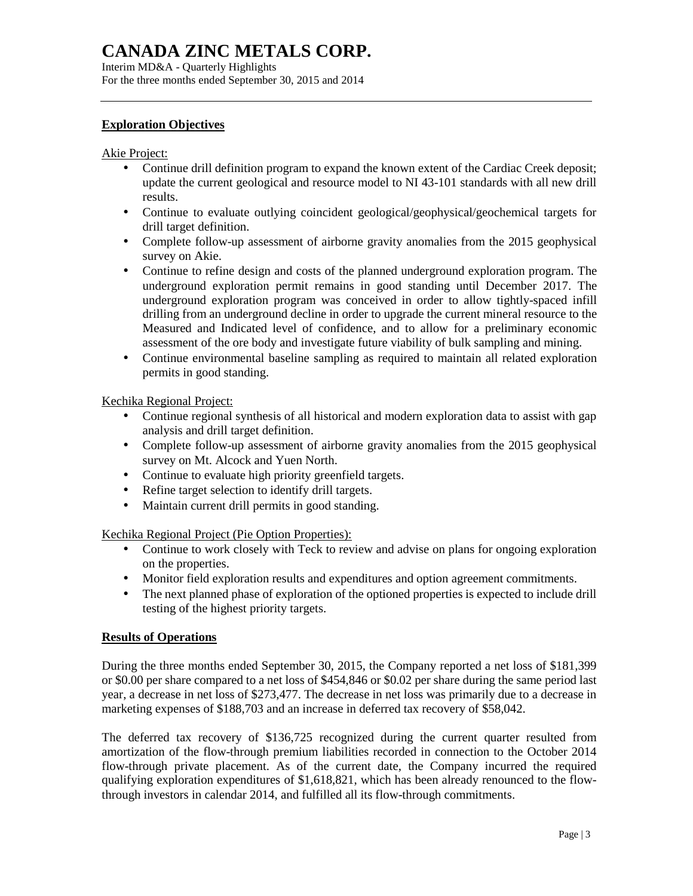Interim MD&A - Quarterly Highlights For the three months ended September 30, 2015 and 2014

### **Exploration Objectives**

Akie Project:

- Continue drill definition program to expand the known extent of the Cardiac Creek deposit; update the current geological and resource model to NI 43-101 standards with all new drill results.
- Continue to evaluate outlying coincident geological/geophysical/geochemical targets for  $\mathcal{L}^{\text{max}}$ drill target definition.
- Complete follow-up assessment of airborne gravity anomalies from the 2015 geophysical  $\mathcal{L}^{\text{max}}$ survey on Akie.
- Continue to refine design and costs of the planned underground exploration program. The  $\mathbf{r}$ underground exploration permit remains in good standing until December 2017. The underground exploration program was conceived in order to allow tightly-spaced infill drilling from an underground decline in order to upgrade the current mineral resource to the Measured and Indicated level of confidence, and to allow for a preliminary economic assessment of the ore body and investigate future viability of bulk sampling and mining.
- Continue environmental baseline sampling as required to maintain all related exploration permits in good standing.

Kechika Regional Project:

- Continue regional synthesis of all historical and modern exploration data to assist with gap analysis and drill target definition.
- $\mathcal{L}^{\text{max}}$ Complete follow-up assessment of airborne gravity anomalies from the 2015 geophysical survey on Mt. Alcock and Yuen North.
- Continue to evaluate high priority greenfield targets.  $\mathbf{r} = \mathbf{r}$
- Refine target selection to identify drill targets.  $\mathbf{r} \in \mathbb{R}^n$
- $\mathbf{r}^{\prime}$ Maintain current drill permits in good standing.

Kechika Regional Project (Pie Option Properties):

- Continue to work closely with Teck to review and advise on plans for ongoing exploration on the properties.
- Monitor field exploration results and expenditures and option agreement commitments.  $\mathcal{L}^{\text{max}}$
- The next planned phase of exploration of the optioned properties is expected to include drill  $\mathbf{r}$ testing of the highest priority targets.

#### **Results of Operations**

During the three months ended September 30, 2015, the Company reported a net loss of \$181,399 or \$0.00 per share compared to a net loss of \$454,846 or \$0.02 per share during the same period last year, a decrease in net loss of \$273,477. The decrease in net loss was primarily due to a decrease in marketing expenses of \$188,703 and an increase in deferred tax recovery of \$58,042.

The deferred tax recovery of \$136,725 recognized during the current quarter resulted from amortization of the flow-through premium liabilities recorded in connection to the October 2014 flow-through private placement. As of the current date, the Company incurred the required qualifying exploration expenditures of \$1,618,821, which has been already renounced to the flowthrough investors in calendar 2014, and fulfilled all its flow-through commitments.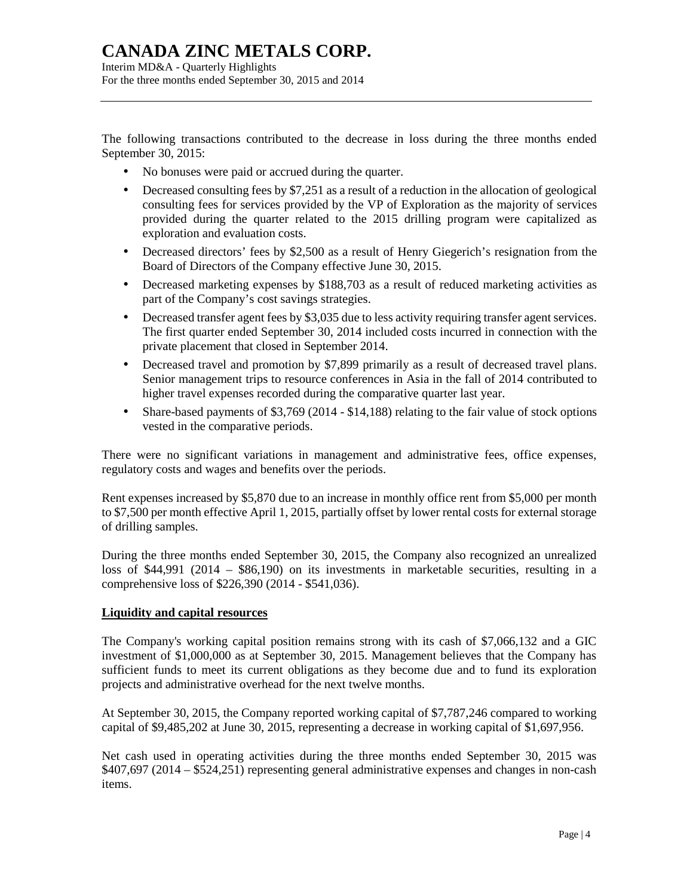Interim MD&A - Quarterly Highlights For the three months ended September 30, 2015 and 2014

The following transactions contributed to the decrease in loss during the three months ended September 30, 2015:

- No bonuses were paid or accrued during the quarter.
- Decreased consulting fees by \$7,251 as a result of a reduction in the allocation of geological  $\mathbf{r}$ consulting fees for services provided by the VP of Exploration as the majority of services provided during the quarter related to the 2015 drilling program were capitalized as exploration and evaluation costs.
- Decreased directors' fees by \$2,500 as a result of Henry Giegerich's resignation from the  $\mathcal{L}^{\text{max}}$ Board of Directors of the Company effective June 30, 2015.
- $\mathcal{L}^{\pm}$ Decreased marketing expenses by \$188,703 as a result of reduced marketing activities as part of the Company's cost savings strategies.
- ¥, Decreased transfer agent fees by \$3,035 due to less activity requiring transfer agent services. The first quarter ended September 30, 2014 included costs incurred in connection with the private placement that closed in September 2014.
- с, Decreased travel and promotion by \$7,899 primarily as a result of decreased travel plans. Senior management trips to resource conferences in Asia in the fall of 2014 contributed to higher travel expenses recorded during the comparative quarter last year.
- k, Share-based payments of \$3,769 (2014 - \$14,188) relating to the fair value of stock options vested in the comparative periods.

There were no significant variations in management and administrative fees, office expenses, regulatory costs and wages and benefits over the periods.

Rent expenses increased by \$5,870 due to an increase in monthly office rent from \$5,000 per month to \$7,500 per month effective April 1, 2015, partially offset by lower rental costs for external storage of drilling samples.

During the three months ended September 30, 2015, the Company also recognized an unrealized loss of \$44,991 (2014 – \$86,190) on its investments in marketable securities, resulting in a comprehensive loss of \$226,390 (2014 - \$541,036).

#### **Liquidity and capital resources**

The Company's working capital position remains strong with its cash of \$7,066,132 and a GIC investment of \$1,000,000 as at September 30, 2015. Management believes that the Company has sufficient funds to meet its current obligations as they become due and to fund its exploration projects and administrative overhead for the next twelve months.

At September 30, 2015, the Company reported working capital of \$7,787,246 compared to working capital of \$9,485,202 at June 30, 2015, representing a decrease in working capital of \$1,697,956.

Net cash used in operating activities during the three months ended September 30, 2015 was \$407,697 (2014 – \$524,251) representing general administrative expenses and changes in non-cash items.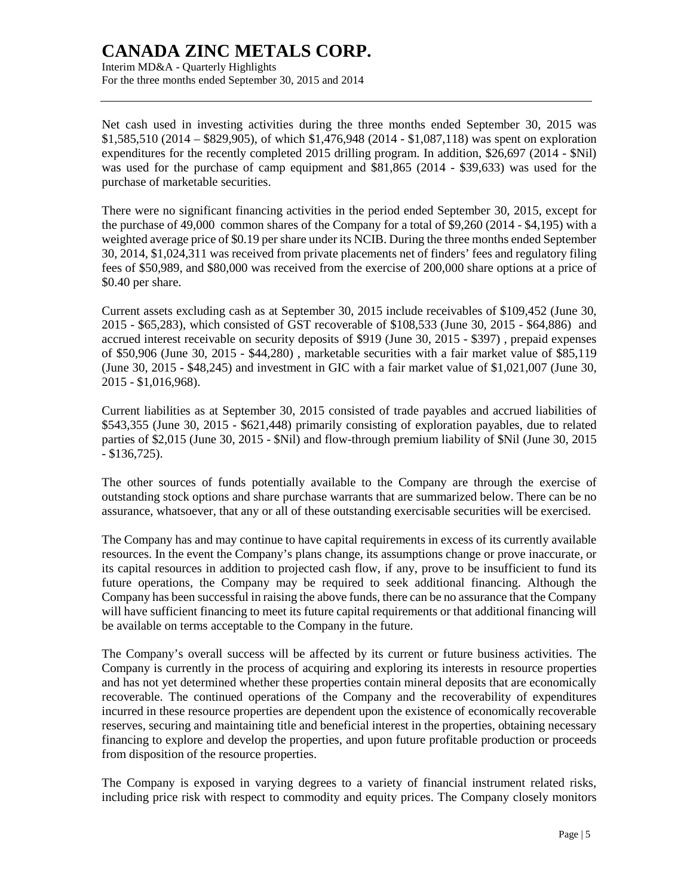Interim MD&A - Quarterly Highlights For the three months ended September 30, 2015 and 2014

Net cash used in investing activities during the three months ended September 30, 2015 was \$1,585,510 (2014 – \$829,905), of which \$1,476,948 (2014 - \$1,087,118) was spent on exploration expenditures for the recently completed 2015 drilling program. In addition, \$26,697 (2014 - \$Nil) was used for the purchase of camp equipment and \$81,865 (2014 - \$39,633) was used for the purchase of marketable securities.

There were no significant financing activities in the period ended September 30, 2015, except for the purchase of 49,000 common shares of the Company for a total of \$9,260 (2014 - \$4,195) with a weighted average price of \$0.19 per share under its NCIB. During the three months ended September 30, 2014, \$1,024,311 was received from private placements net of finders' fees and regulatory filing fees of \$50,989, and \$80,000 was received from the exercise of 200,000 share options at a price of \$0.40 per share.

Current assets excluding cash as at September 30, 2015 include receivables of \$109,452 (June 30, 2015 - \$65,283), which consisted of GST recoverable of \$108,533 (June 30, 2015 - \$64,886) and accrued interest receivable on security deposits of \$919 (June 30, 2015 - \$397) , prepaid expenses of \$50,906 (June 30, 2015 - \$44,280) , marketable securities with a fair market value of \$85,119 (June 30, 2015 - \$48,245) and investment in GIC with a fair market value of \$1,021,007 (June 30, 2015 - \$1,016,968).

Current liabilities as at September 30, 2015 consisted of trade payables and accrued liabilities of \$543,355 (June 30, 2015 - \$621,448) primarily consisting of exploration payables, due to related parties of \$2,015 (June 30, 2015 - \$Nil) and flow-through premium liability of \$Nil (June 30, 2015 - \$136,725).

The other sources of funds potentially available to the Company are through the exercise of outstanding stock options and share purchase warrants that are summarized below. There can be no assurance, whatsoever, that any or all of these outstanding exercisable securities will be exercised.

The Company has and may continue to have capital requirements in excess of its currently available resources. In the event the Company's plans change, its assumptions change or prove inaccurate, or its capital resources in addition to projected cash flow, if any, prove to be insufficient to fund its future operations, the Company may be required to seek additional financing. Although the Company has been successful in raising the above funds, there can be no assurance that the Company will have sufficient financing to meet its future capital requirements or that additional financing will be available on terms acceptable to the Company in the future.

The Company's overall success will be affected by its current or future business activities. The Company is currently in the process of acquiring and exploring its interests in resource properties and has not yet determined whether these properties contain mineral deposits that are economically recoverable. The continued operations of the Company and the recoverability of expenditures incurred in these resource properties are dependent upon the existence of economically recoverable reserves, securing and maintaining title and beneficial interest in the properties, obtaining necessary financing to explore and develop the properties, and upon future profitable production or proceeds from disposition of the resource properties.

The Company is exposed in varying degrees to a variety of financial instrument related risks, including price risk with respect to commodity and equity prices. The Company closely monitors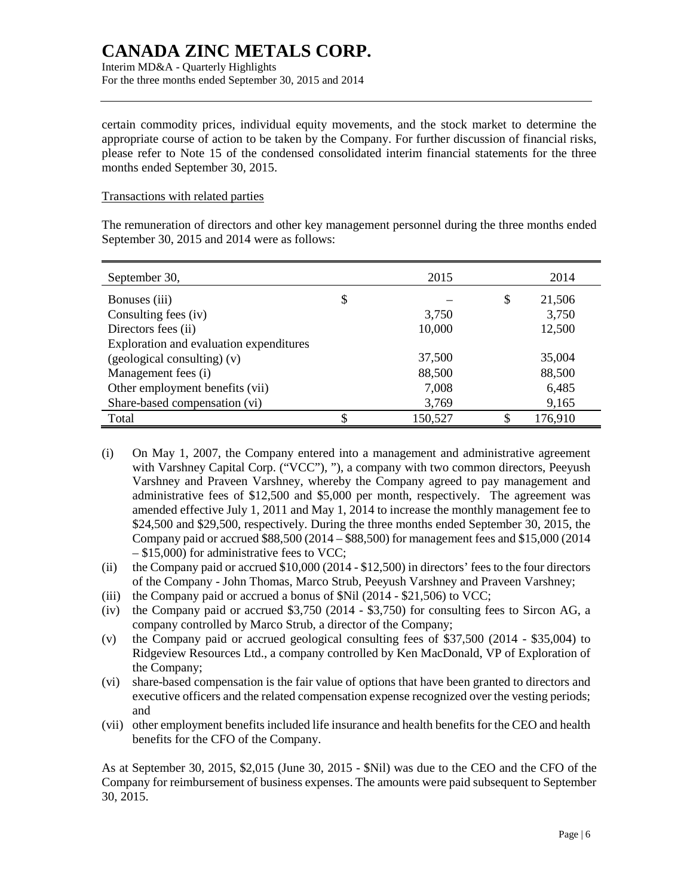Interim MD&A - Quarterly Highlights For the three months ended September 30, 2015 and 2014

certain commodity prices, individual equity movements, and the stock market to determine the appropriate course of action to be taken by the Company. For further discussion of financial risks, please refer to Note 15 of the condensed consolidated interim financial statements for the three months ended September 30, 2015.

#### Transactions with related parties

The remuneration of directors and other key management personnel during the three months ended September 30, 2015 and 2014 were as follows:

| September 30,                           | 2015          | 2014          |
|-----------------------------------------|---------------|---------------|
| Bonuses (iii)                           | \$            | \$<br>21,506  |
| Consulting fees (iv)                    | 3,750         | 3,750         |
| Directors fees (ii)                     | 10,000        | 12,500        |
| Exploration and evaluation expenditures |               |               |
| $(gedogical consulting)$ (v)            | 37,500        | 35,004        |
| Management fees (i)                     | 88,500        | 88,500        |
| Other employment benefits (vii)         | 7,008         | 6,485         |
| Share-based compensation (vi)           | 3,769         | 9,165         |
| Total                                   | \$<br>150,527 | \$<br>176,910 |

- (i) On May 1, 2007, the Company entered into a management and administrative agreement with Varshney Capital Corp. ("VCC"), "), a company with two common directors, Peeyush Varshney and Praveen Varshney, whereby the Company agreed to pay management and administrative fees of \$12,500 and \$5,000 per month, respectively. The agreement was amended effective July 1, 2011 and May 1, 2014 to increase the monthly management fee to \$24,500 and \$29,500, respectively. During the three months ended September 30, 2015, the Company paid or accrued \$88,500 (2014 – \$88,500) for management fees and \$15,000 (2014 – \$15,000) for administrative fees to VCC;
- (ii) the Company paid or accrued \$10,000 (2014 \$12,500) in directors' fees to the four directors of the Company - John Thomas, Marco Strub, Peeyush Varshney and Praveen Varshney;
- (iii) the Company paid or accrued a bonus of \$Nil (2014 \$21,506) to VCC;
- (iv) the Company paid or accrued \$3,750 (2014 \$3,750) for consulting fees to Sircon AG, a company controlled by Marco Strub, a director of the Company;
- (v) the Company paid or accrued geological consulting fees of \$37,500 (2014 \$35,004) to Ridgeview Resources Ltd., a company controlled by Ken MacDonald, VP of Exploration of the Company;
- (vi) share-based compensation is the fair value of options that have been granted to directors and executive officers and the related compensation expense recognized over the vesting periods; and
- (vii) other employment benefits included life insurance and health benefits for the CEO and health benefits for the CFO of the Company.

As at September 30, 2015, \$2,015 (June 30, 2015 - \$Nil) was due to the CEO and the CFO of the Company for reimbursement of business expenses. The amounts were paid subsequent to September 30, 2015.